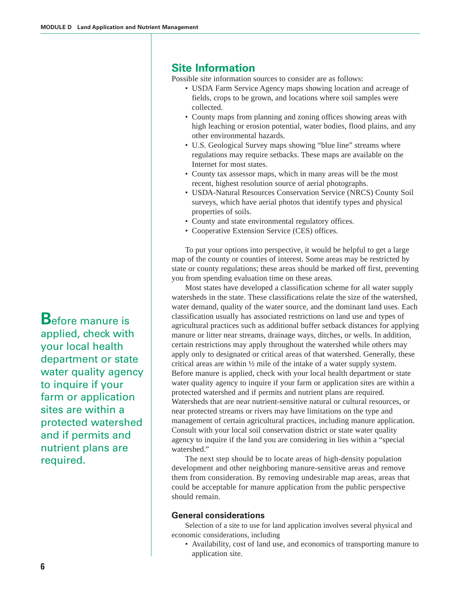**B**efore manure is applied, check with your local health department or state water quality agency to inquire if your farm or application sites are within a protected watershed and if permits and nutrient plans are required.

# **Site Information**

Possible site information sources to consider are as follows:

- USDA Farm Service Agency maps showing location and acreage of fields, crops to be grown, and locations where soil samples were collected.
- County maps from planning and zoning offices showing areas with high leaching or erosion potential, water bodies, flood plains, and any other environmental hazards.
- U.S. Geological Survey maps showing "blue line" streams where regulations may require setbacks. These maps are available on the Internet for most states.
- County tax assessor maps, which in many areas will be the most recent, highest resolution source of aerial photographs.
- USDA-Natural Resources Conservation Service (NRCS) County Soil surveys, which have aerial photos that identify types and physical properties of soils.
- County and state environmental regulatory offices.
- Cooperative Extension Service (CES) offices.

To put your options into perspective, it would be helpful to get a large map of the county or counties of interest. Some areas may be restricted by state or county regulations; these areas should be marked off first, preventing you from spending evaluation time on these areas.

Most states have developed a classification scheme for all water supply watersheds in the state. These classifications relate the size of the watershed, water demand, quality of the water source, and the dominant land uses. Each classification usually has associated restrictions on land use and types of agricultural practices such as additional buffer setback distances for applying manure or litter near streams, drainage ways, ditches, or wells. In addition, certain restrictions may apply throughout the watershed while others may apply only to designated or critical areas of that watershed. Generally, these critical areas are within ½ mile of the intake of a water supply system. Before manure is applied, check with your local health department or state water quality agency to inquire if your farm or application sites are within a protected watershed and if permits and nutrient plans are required. Watersheds that are near nutrient-sensitive natural or cultural resources, or near protected streams or rivers may have limitations on the type and management of certain agricultural practices, including manure application. Consult with your local soil conservation district or state water quality agency to inquire if the land you are considering in lies within a "special watershed."

The next step should be to locate areas of high-density population development and other neighboring manure-sensitive areas and remove them from consideration. By removing undesirable map areas, areas that could be acceptable for manure application from the public perspective should remain.

#### **General considerations**

Selection of a site to use for land application involves several physical and economic considerations, including

• Availability, cost of land use, and economics of transporting manure to application site.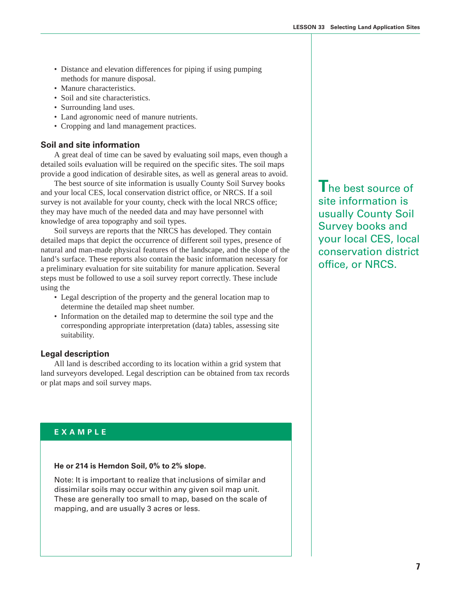- Distance and elevation differences for piping if using pumping methods for manure disposal.
- Manure characteristics.
- Soil and site characteristics.
- Surrounding land uses.
- Land agronomic need of manure nutrients.
- Cropping and land management practices.

### **Soil and site information**

A great deal of time can be saved by evaluating soil maps, even though a detailed soils evaluation will be required on the specific sites. The soil maps provide a good indication of desirable sites, as well as general areas to avoid.

The best source of site information is usually County Soil Survey books and your local CES, local conservation district office, or NRCS. If a soil survey is not available for your county, check with the local NRCS office; they may have much of the needed data and may have personnel with knowledge of area topography and soil types.

Soil surveys are reports that the NRCS has developed. They contain detailed maps that depict the occurrence of different soil types, presence of natural and man-made physical features of the landscape, and the slope of the land's surface. These reports also contain the basic information necessary for a preliminary evaluation for site suitability for manure application. Several steps must be followed to use a soil survey report correctly. These include using the

- Legal description of the property and the general location map to determine the detailed map sheet number.
- Information on the detailed map to determine the soil type and the corresponding appropriate interpretation (data) tables, assessing site suitability.

### **Legal description**

All land is described according to its location within a grid system that land surveyors developed. Legal description can be obtained from tax records or plat maps and soil survey maps.

### **EXAMPLE**

#### **He or 214 is Herndon Soil, 0% to 2% slope.**

Note: It is important to realize that inclusions of similar and dissimilar soils may occur within any given soil map unit. These are generally too small to map, based on the scale of mapping, and are usually 3 acres or less.

**T**he best source of site information is usually County Soil Survey books and your local CES, local conservation district office, or NRCS.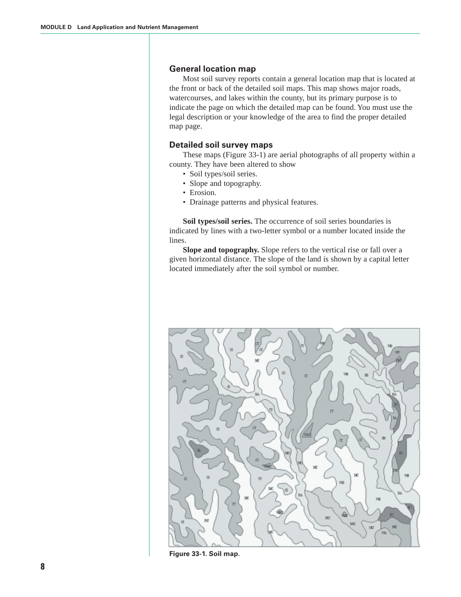#### **General location map**

Most soil survey reports contain a general location map that is located at the front or back of the detailed soil maps. This map shows major roads, watercourses, and lakes within the county, but its primary purpose is to indicate the page on which the detailed map can be found. You must use the legal description or your knowledge of the area to find the proper detailed map page.

#### **Detailed soil survey maps**

These maps (Figure 33-1) are aerial photographs of all property within a county. They have been altered to show

- Soil types/soil series.
- Slope and topography.
- Erosion.
- Drainage patterns and physical features.

**Soil types/soil series.** The occurrence of soil series boundaries is indicated by lines with a two-letter symbol or a number located inside the lines.

**Slope and topography.** Slope refers to the vertical rise or fall over a given horizontal distance. The slope of the land is shown by a capital letter located immediately after the soil symbol or number.



**Figure 33-1. Soil map.**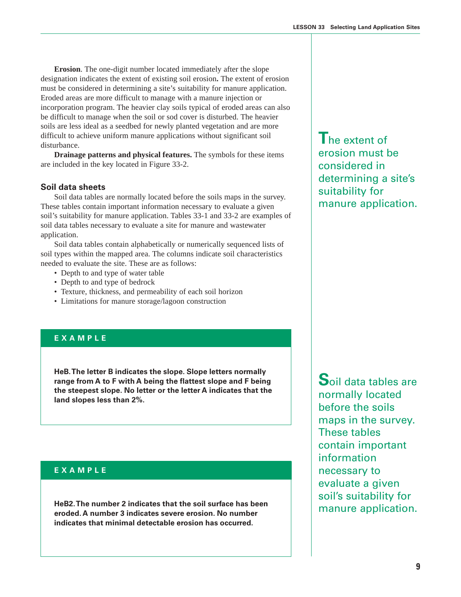**Erosion**. The one-digit number located immediately after the slope designation indicates the extent of existing soil erosion**.** The extent of erosion must be considered in determining a site's suitability for manure application. Eroded areas are more difficult to manage with a manure injection or incorporation program. The heavier clay soils typical of eroded areas can also be difficult to manage when the soil or sod cover is disturbed. The heavier soils are less ideal as a seedbed for newly planted vegetation and are more difficult to achieve uniform manure applications without significant soil disturbance.

**Drainage patterns and physical features.** The symbols for these items are included in the key located in Figure 33-2.

#### **Soil data sheets**

Soil data tables are normally located before the soils maps in the survey. These tables contain important information necessary to evaluate a given soil's suitability for manure application. Tables 33-1 and 33-2 are examples of soil data tables necessary to evaluate a site for manure and wastewater application.

Soil data tables contain alphabetically or numerically sequenced lists of soil types within the mapped area. The columns indicate soil characteristics needed to evaluate the site. These are as follows:

- Depth to and type of water table
- Depth to and type of bedrock
- Texture, thickness, and permeability of each soil horizon
- Limitations for manure storage/lagoon construction

## **EXAMPLE**

**HeB. The letter B indicates the slope. Slope letters normally range from A to F with A being the flattest slope and F being the steepest slope. No letter or the letter A indicates that the land slopes less than 2%.**

#### **EXAMPLE**

**HeB2. The number 2 indicates that the soil surface has been eroded. A number 3 indicates severe erosion. No number indicates that minimal detectable erosion has occurred.**

**T**he extent of erosion must be considered in determining a site's suitability for manure application.

**S**oil data tables are normally located before the soils maps in the survey. These tables contain important information necessary to evaluate a given soil's suitability for manure application.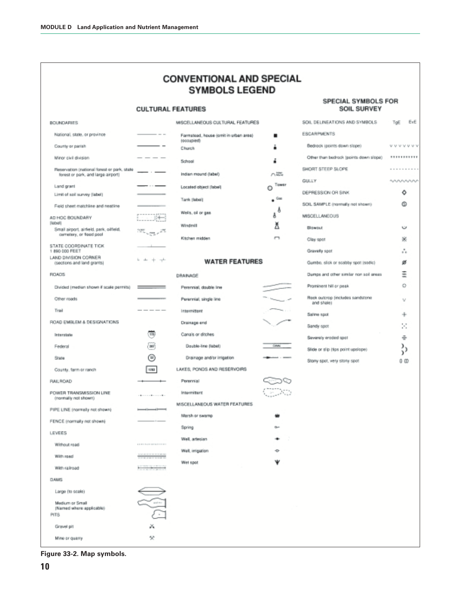| <b>CONVENTIONAL AND SPECIAL</b> |
|---------------------------------|
| <b>SYMBOLS LEGEND</b>           |

#### **CULTURAL FEATURES**

| BOUNDARIES                                                                        |                                                                                                                                                                                                                                                                                                                                                                                                                                                                                                                  |
|-----------------------------------------------------------------------------------|------------------------------------------------------------------------------------------------------------------------------------------------------------------------------------------------------------------------------------------------------------------------------------------------------------------------------------------------------------------------------------------------------------------------------------------------------------------------------------------------------------------|
| National, state, or province                                                      |                                                                                                                                                                                                                                                                                                                                                                                                                                                                                                                  |
| County or parah                                                                   | . .                                                                                                                                                                                                                                                                                                                                                                                                                                                                                                              |
| Minor civil division                                                              |                                                                                                                                                                                                                                                                                                                                                                                                                                                                                                                  |
| Reservation (national forest or park, state<br>forest or park, and large airport) |                                                                                                                                                                                                                                                                                                                                                                                                                                                                                                                  |
| Land grant                                                                        | 10000                                                                                                                                                                                                                                                                                                                                                                                                                                                                                                            |
| Limit of spil survey (label)                                                      |                                                                                                                                                                                                                                                                                                                                                                                                                                                                                                                  |
| Field sheet matchline and neatline                                                |                                                                                                                                                                                                                                                                                                                                                                                                                                                                                                                  |
| AD HOC BOUNDARY<br>(lebel)                                                        |                                                                                                                                                                                                                                                                                                                                                                                                                                                                                                                  |
| Smail airport, airfield, park, oilfield,<br>cerretery, or flood pool              | $\frac{1}{2}$                                                                                                                                                                                                                                                                                                                                                                                                                                                                                                    |
| STATE COORDINATE TICK<br>1890 000 FEET                                            |                                                                                                                                                                                                                                                                                                                                                                                                                                                                                                                  |
| LAND DIVISION CORNER<br>(sections and land grants)                                | b do 4 - 14                                                                                                                                                                                                                                                                                                                                                                                                                                                                                                      |
| <b>FIGADS</b>                                                                     |                                                                                                                                                                                                                                                                                                                                                                                                                                                                                                                  |
| Divided (median shown if scale permits)                                           | ____                                                                                                                                                                                                                                                                                                                                                                                                                                                                                                             |
| Other roads                                                                       | the control of the control of the                                                                                                                                                                                                                                                                                                                                                                                                                                                                                |
| Trail                                                                             |                                                                                                                                                                                                                                                                                                                                                                                                                                                                                                                  |
| ROAD EMBLEM & DESIGNATIONS                                                        |                                                                                                                                                                                                                                                                                                                                                                                                                                                                                                                  |
| Interstate                                                                        |                                                                                                                                                                                                                                                                                                                                                                                                                                                                                                                  |
|                                                                                   | m                                                                                                                                                                                                                                                                                                                                                                                                                                                                                                                |
| Federal                                                                           | 3HT)                                                                                                                                                                                                                                                                                                                                                                                                                                                                                                             |
| State                                                                             | sr                                                                                                                                                                                                                                                                                                                                                                                                                                                                                                               |
| County, farm or ranch                                                             | 1193                                                                                                                                                                                                                                                                                                                                                                                                                                                                                                             |
| <b>RAILROAD</b>                                                                   |                                                                                                                                                                                                                                                                                                                                                                                                                                                                                                                  |
| POWER TRANSMISSION LINE<br>(normally not shown)                                   | $\mathbf{1} \times \mathbf{1} \times \mathbf{1} \times \mathbf{1} \times \mathbf{1} \times \mathbf{1} \times \mathbf{1} \times \mathbf{1} \times \mathbf{1} \times \mathbf{1} \times \mathbf{1} \times \mathbf{1} \times \mathbf{1} \times \mathbf{1} \times \mathbf{1} \times \mathbf{1} \times \mathbf{1} \times \mathbf{1} \times \mathbf{1} \times \mathbf{1} \times \mathbf{1} \times \mathbf{1} \times \mathbf{1} \times \mathbf{1} \times \mathbf{1} \times \mathbf{1} \times \mathbf{1} \times \mathbf{$ |
| PIPE LINE (normally not shown)                                                    | $-\cdots$                                                                                                                                                                                                                                                                                                                                                                                                                                                                                                        |
| FENCE (normally not shown)                                                        |                                                                                                                                                                                                                                                                                                                                                                                                                                                                                                                  |
| <b>LEVEES</b>                                                                     |                                                                                                                                                                                                                                                                                                                                                                                                                                                                                                                  |
| Without road                                                                      | A to drive the print species in terms as a                                                                                                                                                                                                                                                                                                                                                                                                                                                                       |
| With road                                                                         |                                                                                                                                                                                                                                                                                                                                                                                                                                                                                                                  |
| With railroad                                                                     |                                                                                                                                                                                                                                                                                                                                                                                                                                                                                                                  |
| <b>DAMS</b>                                                                       |                                                                                                                                                                                                                                                                                                                                                                                                                                                                                                                  |
| Large (to scale)                                                                  |                                                                                                                                                                                                                                                                                                                                                                                                                                                                                                                  |
| Medium or Small                                                                   |                                                                                                                                                                                                                                                                                                                                                                                                                                                                                                                  |
| (Named where applicable)<br>PITS                                                  |                                                                                                                                                                                                                                                                                                                                                                                                                                                                                                                  |
| Gravel pit                                                                        |                                                                                                                                                                                                                                                                                                                                                                                                                                                                                                                  |

| MISCELLANEOUS CULTURAL FEATURES                     |               |
|-----------------------------------------------------|---------------|
| Farmstead, house (omit in urban area)<br>tocoupied) | ■             |
| Church                                              | ă             |
| School                                              | ء             |
| Indian mound (label)                                | ハ端            |
| Located object (bloel)                              | Tower<br>Θ    |
| Tarrik (label)                                      | $\bullet$ Gas |
| Wells, oil or gas                                   | δ<br>A        |
| Windmill                                            | ă             |
| Kitchen midden                                      | 冖             |

#### **WATER FEATURES**

| DRAINAGE                     |             |
|------------------------------|-------------|
| Perennial, double line       |             |
| Perennial, single line       |             |
| intermittent                 |             |
| Drainage end                 |             |
| Canais or ditches            |             |
| Double-line (label)          | City        |
| Drainage and/or imigation    | $-$ control |
| LAKES, PONDS AND RESERVOIRS  |             |
| Perennial                    | ಾಂ          |
| Intermittent                 |             |
| MISCELLANDOUS WATER FEATURES |             |
| Marsh or swamp               |             |
| Spring                       | $-$         |
| Well, artesian               |             |
| Well, irrigation             | ÷           |
| Wet spot                     |             |
|                              |             |
|                              |             |

#### SPECIAL SYMBOLS FOR **SOIL SURVEY**

| SOIL DELINEATIONS AND SYMBOLS                       | TgE<br>EyE |
|-----------------------------------------------------|------------|
| <b>EBCARPMENTS</b>                                  |            |
| Bedrack ipoints down slope)                         | VVVVVV1    |
| Other than bedrock (points down slope) 111111111111 |            |
| SHORT STEEP SLOPE                                   | ------     |
| GULLY                                               | ハハハハハハハ    |
| DEPREBSION OR SINK                                  | ٥          |
| SOIL SAMPLE (nonmally not shown)                    | ٨          |
| MISCELI ANEOUS                                      |            |
| Ellowout                                            | ت          |
| Clay spot                                           | ×          |
| Gravely spot                                        | A.         |
| Gumbo, slick or scabby spot (sodic)                 | ø          |
| Dumps and other similar non soil areas              | Ξ          |
| Prominent hill or peak.                             | ō          |
| Rock outcrop (includes sandstone)<br>and shale)     | v          |
| Saline spot                                         | ÷          |
| Sandy spot                                          | Χ          |
| Severely eroded spot                                | ÷          |
| Slide or slip (tips point upslope)                  |            |
| Story spot, very stony spot                         | οœ         |
|                                                     |            |

**Figure 33-2. Map symbols.**